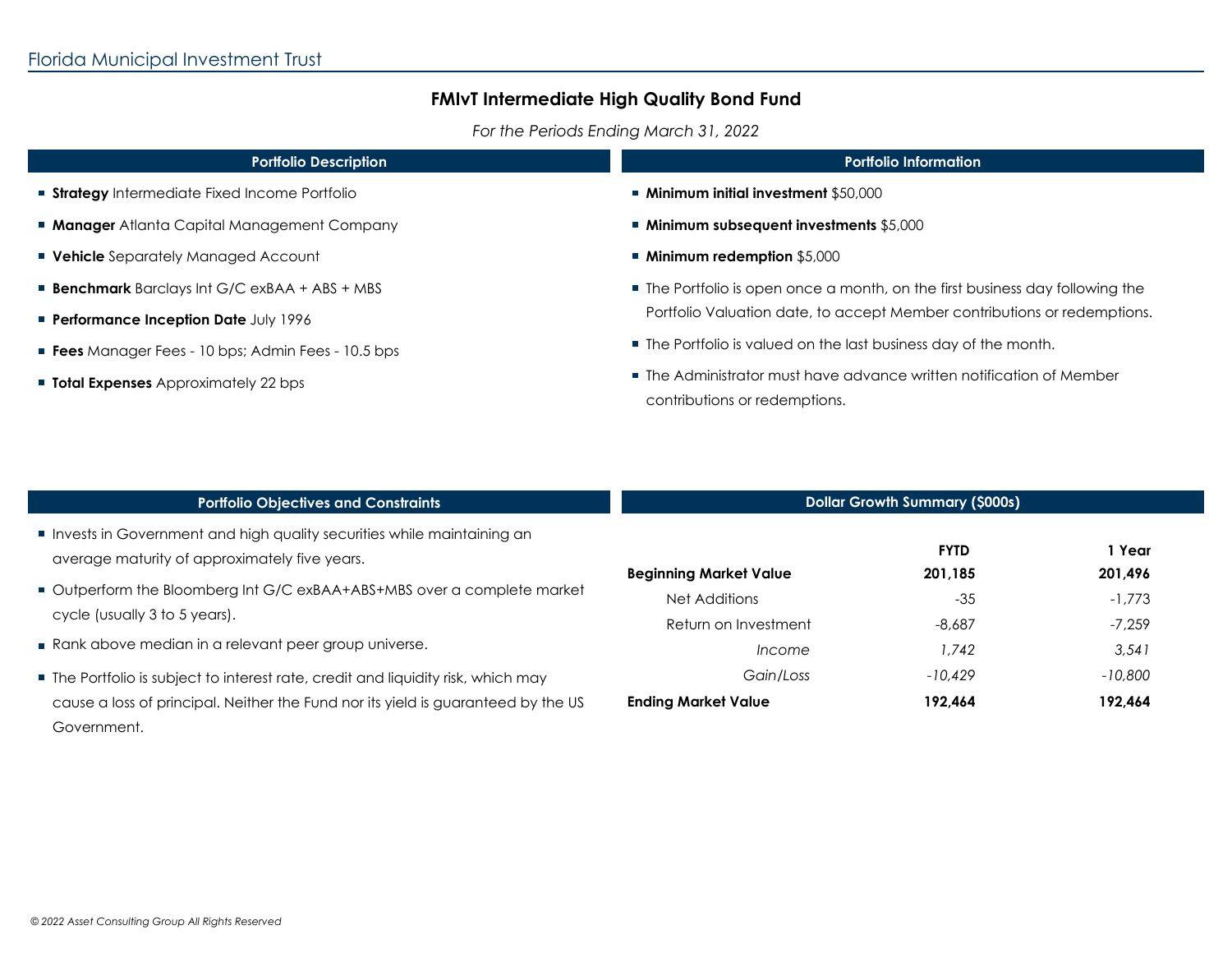*For the Periods Ending March 31, 2022*

| <b>Portfolio Information</b>                                                                                                                                                                                                  |  |                                                                                                       |
|-------------------------------------------------------------------------------------------------------------------------------------------------------------------------------------------------------------------------------|--|-------------------------------------------------------------------------------------------------------|
| ■ Minimum initial investment \$50,000                                                                                                                                                                                         |  |                                                                                                       |
| $\blacksquare$ Minimum subsequent investments \$5,000                                                                                                                                                                         |  |                                                                                                       |
| ■ Minimum redemption \$5,000                                                                                                                                                                                                  |  |                                                                                                       |
| • The Portfolio is open once a month, on the first business day following the<br>Portfolio Valuation date, to accept Member contributions or redemptions.<br>■ The Portfolio is valued on the last business day of the month. |  |                                                                                                       |
|                                                                                                                                                                                                                               |  | ■ The Administrator must have advance written notification of Member<br>contributions or redemptions. |
|                                                                                                                                                                                                                               |  |                                                                                                       |
|                                                                                                                                                                                                                               |  |                                                                                                       |
|                                                                                                                                                                                                                               |  |                                                                                                       |

| <b>Portfolio Objectives and Constraints</b>                                                                                                                                           | <b>Dollar Growth Summary (\$000s)</b>   |                        |                      |
|---------------------------------------------------------------------------------------------------------------------------------------------------------------------------------------|-----------------------------------------|------------------------|----------------------|
| Invests in Government and high quality securities while maintaining an<br>average maturity of approximately five years.                                                               | <b>Beginning Market Value</b>           | <b>FYTD</b><br>201.185 | 1 Year<br>201,496    |
| Outperform the Bloomberg Int G/C exBAA+ABS+MBS over a complete market<br>cycle (usually 3 to 5 years).                                                                                | Net Additions<br>Return on Investment   | $-35$<br>$-8,687$      | $-1,773$<br>$-7.259$ |
| Rank above median in a relevant peer group universe.                                                                                                                                  | <i>Income</i>                           | 1.742                  | 3,541                |
| ■ The Portfolio is subject to interest rate, credit and liquidity risk, which may<br>cause a loss of principal. Neither the Fund nor its yield is guaranteed by the US<br>Government. | Gain/Loss<br><b>Ending Market Value</b> | $-10.429$<br>192.464   | $-10,800$<br>192,464 |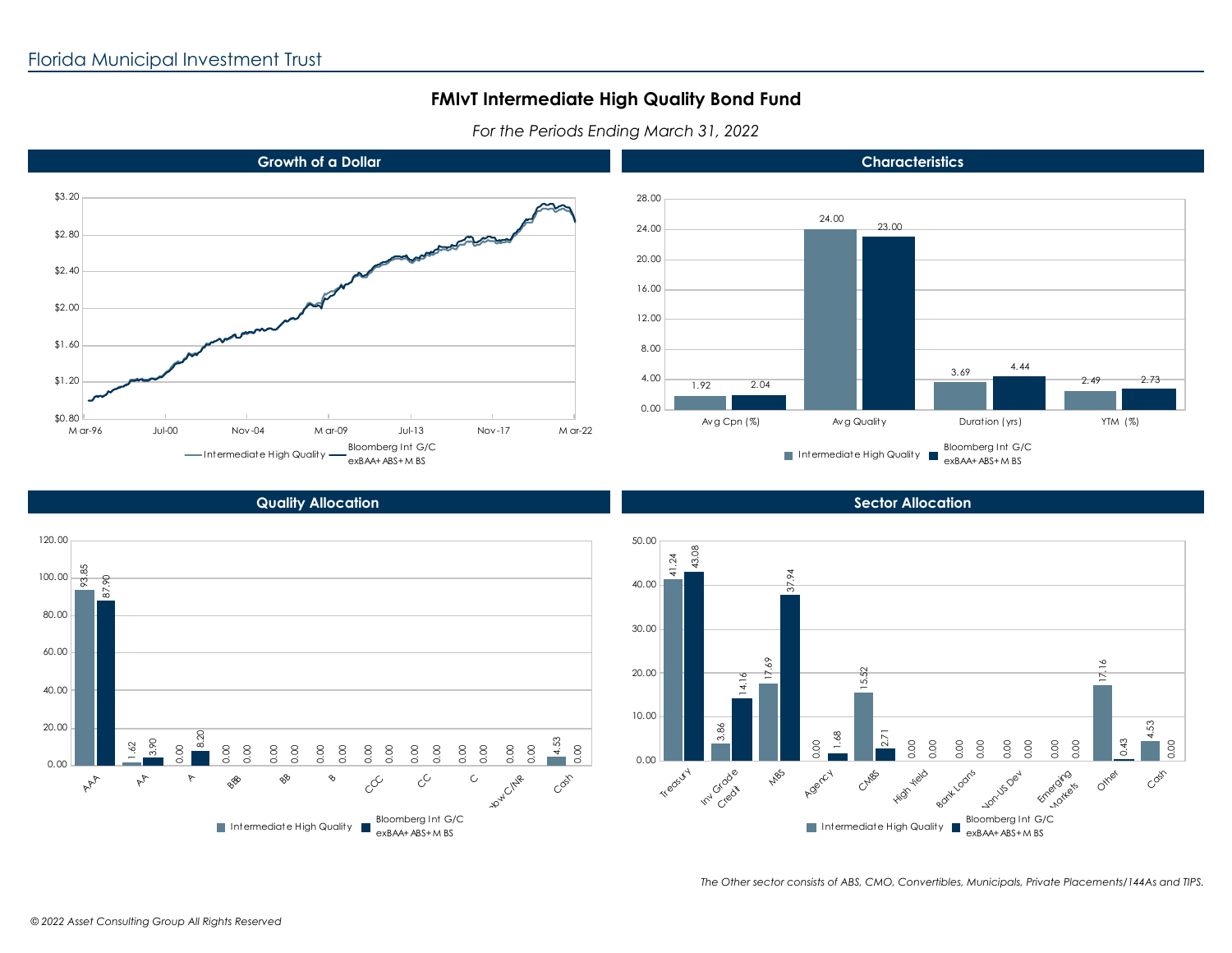*For the Periods Ending March 31, 2022*





### **Growth of a Dollar**

**Characteristics**

#### **Quality Allocation**



**Sector Allocation**



*The Other sector consists of ABS, CMO, Convertibles, Municipals, Private Placements/144As and TIPS.*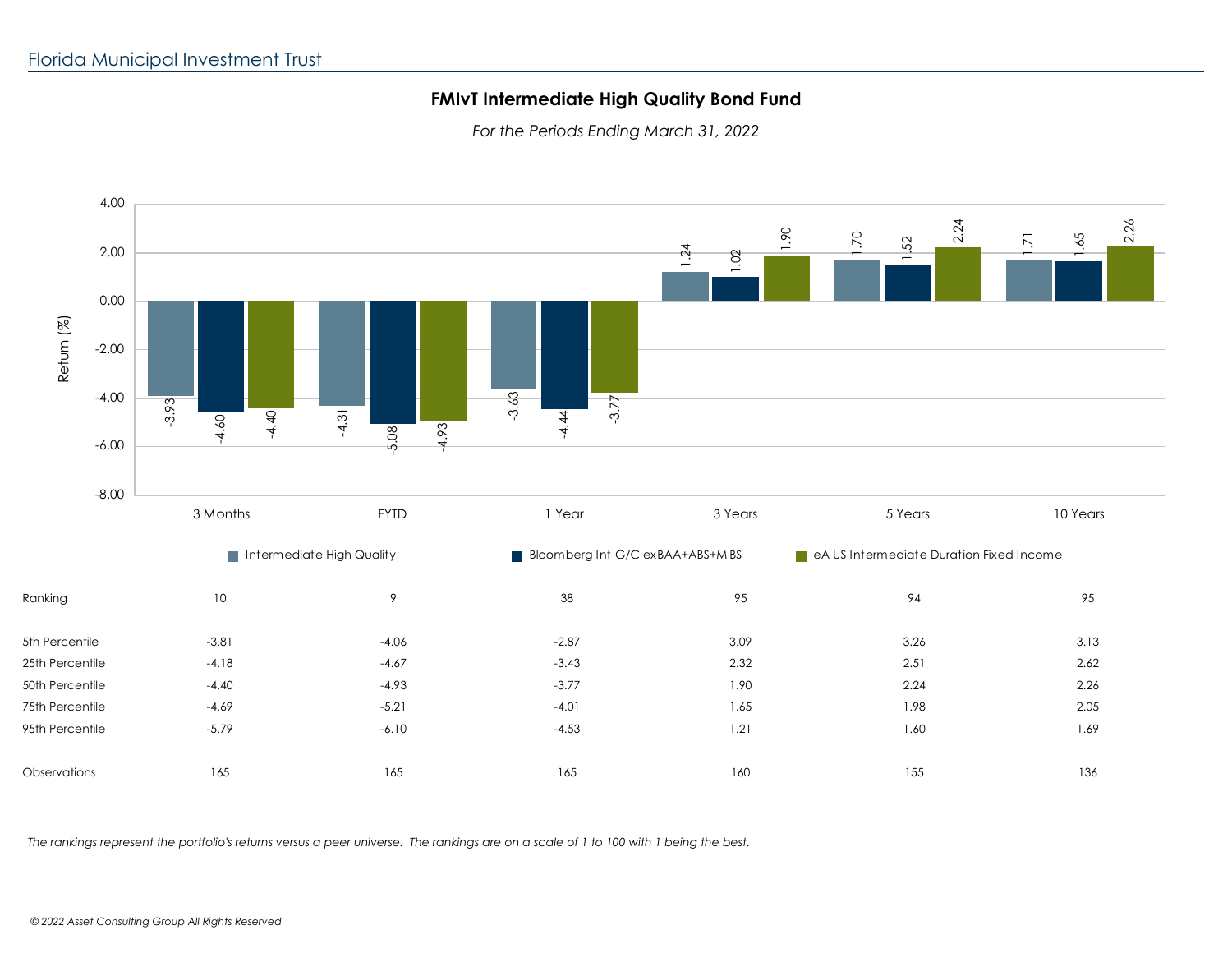*For the Periods Ending March 31, 2022*



*The rankings represent the portfolio's returns versus a peer universe. The rankings are on a scale of 1 to 100 with 1 being the best.*